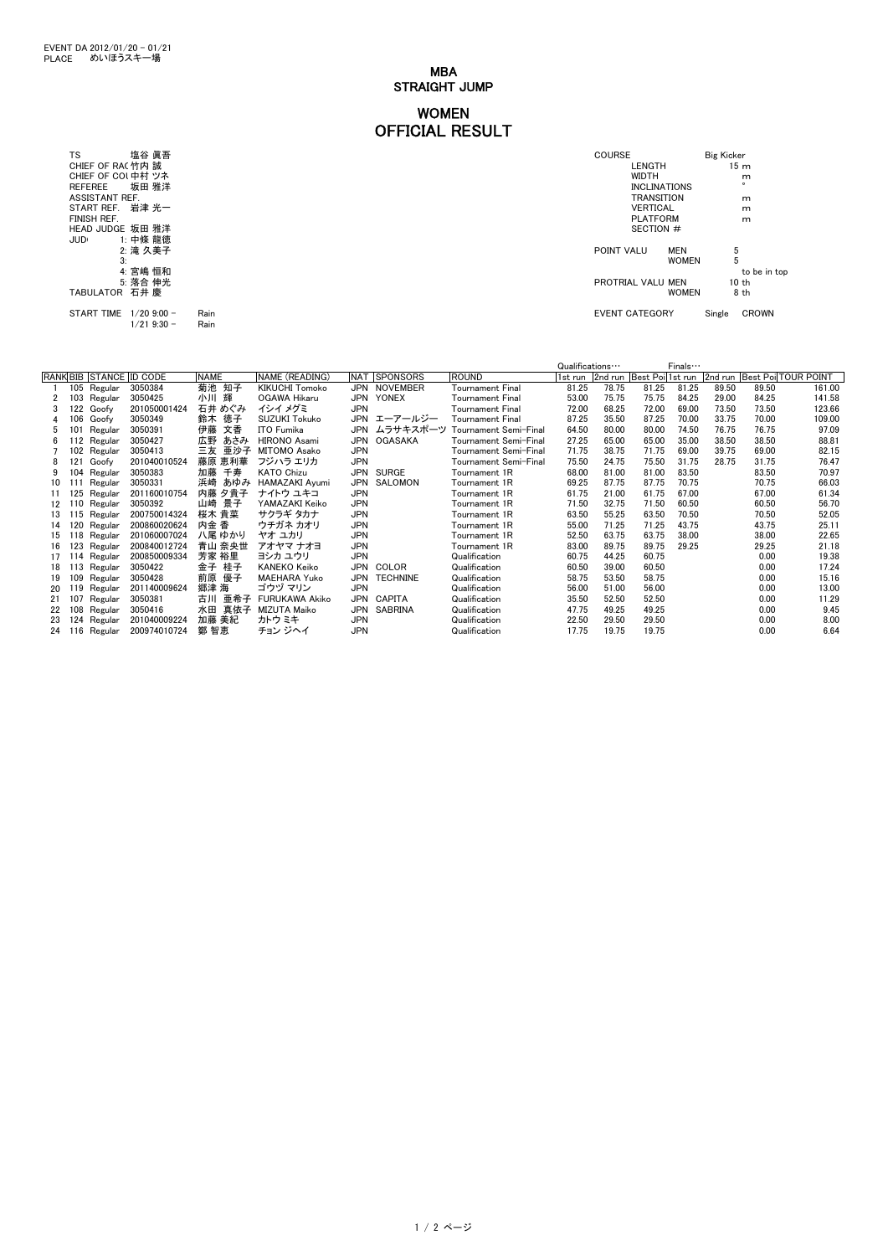MBA STRAIGHT JUMP

## WOMEN OFFICIAL RESULT

START TIME 1/20 9:00 - Rain EVENT CATEGORY Single CROWN 1/21 9:30 - Rain

| 塩谷 眞吾<br>TS       | <b>COURSE</b>            | <b>Big Kicker</b> |
|-------------------|--------------------------|-------------------|
| CHIEF OF RAC竹内 誠  | LENGTH                   | 15 <sub>m</sub>   |
| CHIEF OF COL中村 ツネ | <b>WIDTH</b>             | m                 |
| 坂田 雅洋<br>REFEREE  | <b>INCLINATIONS</b>      | $\circ$           |
| ASSISTANT REF.    | <b>TRANSITION</b>        | m                 |
| START REF. 岩津 光一  | <b>VERTICAL</b>          | m                 |
| FINISH REF.       | <b>PLATFORM</b>          | m                 |
| HEAD JUDGE 坂田 雅洋  | SECTION #                |                   |
| 1: 中條 龍徳<br>JUDI  |                          |                   |
| 2: 滝 久美子          | POINT VALU<br><b>MEN</b> | 5                 |
| З.                | <b>WOMEN</b>             | 5                 |
| 4: 宮嶋 恒和          |                          | to be in top      |
| 5: 落合 伸光          | PROTRIAL VALU MEN        | 10 th             |
| TABULATOR 石井 慶    | <b>WOMEN</b>             | 8 th              |
|                   |                          |                   |

|                   |     |             |                         |             |                       |            |                 |                         | Qualifications |         |                  | Finals… |       |                       |              |
|-------------------|-----|-------------|-------------------------|-------------|-----------------------|------------|-----------------|-------------------------|----------------|---------|------------------|---------|-------|-----------------------|--------------|
|                   |     |             | RANK BIB STANCE ID CODE | <b>NAME</b> | NAME (READING)        | <b>NAT</b> | <b>SPONSORS</b> | <b>ROUND</b>            | 1st run        | 2nd run | Best Poil1st run |         |       | 2nd run Best PoilTOUR | <b>POINT</b> |
|                   |     | 105 Regular | 3050384                 | 菊池 知子       | <b>KIKUCHI Tomoko</b> |            | JPN NOVEMBER    | Tournament Final        | 81.25          | 78.75   | 81.25            | 81.25   | 89.50 | 89.50                 | 161.00       |
|                   | 103 | Regular     | 3050425                 | 小川<br>輝     | OGAWA Hikaru          | JPN        | YONEX           | Tournament Final        | 53.00          | 75.75   | 75.75            | 84.25   | 29.00 | 84.25                 | 141.58       |
|                   | 122 | Goofy       | 201050001424            | 石井 めぐみ      | イシイ メグミ               | <b>JPN</b> |                 | <b>Tournament Final</b> | 72.00          | 68.25   | 72.00            | 69.00   | 73.50 | 73.50                 | 123.66       |
|                   | 106 | Goofy       | 3050349                 | 徳子<br>鈴木    | <b>SUZUKI Tokuko</b>  |            | JPN エーアールジー     | Tournament Final        | 87.25          | 35.50   | 87.25            | 70.00   | 33.75 | 70.00                 | 109.00       |
| 5                 | 101 | Regular     | 3050391                 | 文香<br>伊藤    | ITO Fumika            |            | JPN ムラサキスポーツ    | 「ournament Semi-Final   | 64.50          | 80.00   | 80.00            | 74.50   | 76.75 | 76.75                 | 97.09        |
| 6                 | 12  | Regular     | 3050427                 | 広野<br>あさみ   | HIRONO Asami          |            | JPN OGASAKA     | Tournament Semi-Final   | 27.25          | 65.00   | 65.00            | 35.00   | 38.50 | 38.50                 | 88.81        |
|                   |     | 102 Regular | 3050413                 | 亜沙子<br>三友   | <b>MITOMO Asako</b>   | <b>JPN</b> |                 | Tournament Semi-Final   | 71.75          | 38.75   | 71.75            | 69.00   | 39.75 | 69.00                 | 82.15        |
| 8                 | 121 | Goofy       | 201040010524            | 藤原 恵利華      | フジハラ エリカ              | <b>JPN</b> |                 | Tournament Semi-Final   | 75.50          | 24.75   | 75.50            | 31.75   | 28.75 | 31.75                 | 76.47        |
|                   | 104 | Regular     | 3050383                 | 千寿<br>加藤    | <b>KATO Chizu</b>     | <b>JPN</b> | SURGE           | Tournament 1R           | 68.00          | 81.00   | 81.00            | 83.50   |       | 83.50                 | 70.97        |
| 10                |     | Regular     | 3050331                 | 浜崎<br>あゆみ   | <b>HAMAZAKI Avumi</b> | <b>JPN</b> | SALOMON         | Tournament 1R           | 69.25          | 87.75   | 87.75            | 70.75   |       | 70.75                 | 66.03        |
| 11                | 125 | Regular     | 201160010754            | 内藤 夕貴子      | ナイトウ ユキコ              | <b>JPN</b> |                 | Tournament 1R           | 61.75          | 21.00   | 61.75            | 67.00   |       | 67.00                 | 61.34        |
| $12 \overline{ }$ | 10  | Regular     | 3050392                 | 景子<br>山崎    | YAMAZAKI Keiko        | <b>JPN</b> |                 | Tournament 1R           | 71.50          | 32.75   | 71.50            | 60.50   |       | 60.50                 | 56.70        |
| 13                | 15  | Regular     | 200750014324            | 桜木 貴菜       | サクラギ タカナ              | <b>JPN</b> |                 | Tournament 1R           | 63.50          | 55.25   | 63.50            | 70.50   |       | 70.50                 | 52.05        |
| 14                | 120 | Regular     | 200860020624            | 内金 香        | ウチガネ カオリ              | <b>JPN</b> |                 | Tournament 1R           | 55.00          | 71.25   | 71.25            | 43.75   |       | 43.75                 | 25.11        |
| 15                | 18  | Regular     | 201060007024            | 八尾 ゆかり      | ヤオ ユカリ                | <b>JPN</b> |                 | Tournament 1R           | 52.50          | 63.75   | 63.75            | 38.00   |       | 38.00                 | 22.65        |
| 16                | 123 | Regular     | 200840012724            | 青山 奈央世      | アオヤマ ナオヨ              | <b>JPN</b> |                 | Tournament 1R           | 83.00          | 89.75   | 89.75            | 29.25   |       | 29.25                 | 21.18        |
| 17                | 14  | Regular     | 200850009334            | 芳家 裕里       | ヨシカ ユウリ               | <b>JPN</b> |                 | Qualification           | 60.75          | 44.25   | 60.75            |         |       | 0.00                  | 19.38        |
| 18                | 13  | Regular     | 3050422                 | 桂子<br>金子    | <b>KANEKO Keiko</b>   |            | JPN COLOR       | Qualification           | 60.50          | 39.00   | 60.50            |         |       | 0.00                  | 17.24        |
| 19                | 109 | Regular     | 3050428                 | 前原<br>優子    | <b>MAEHARA Yuko</b>   | JPN        | <b>TECHNINE</b> | Qualification           | 58.75          | 53.50   | 58.75            |         |       | 0.00                  | 15.16        |
| 20                | 19  | Regular     | 201140009624            | 郷津 海        | ゴウヅ マリン               | <b>JPN</b> |                 | Qualification           | 56.00          | 51.00   | 56.00            |         |       | 0.00                  | 13.00        |
| 21                | 107 | Regular     | 3050381                 | 亜希子<br>古川   | <b>FURUKAWA Akiko</b> | JPN        | CAPITA          | Qualification           | 35.50          | 52.50   | 52.50            |         |       | 0.00                  | 11.29        |
| 22                | 108 | Regular     | 3050416                 | 水田<br>真依子   | MIZUTA Maiko          | JPN        | SABRINA         | Qualification           | 47.75          | 49.25   | 49.25            |         |       | 0.00                  | 9.45         |
| 23                | 124 | Regular     | 201040009224            | 加藤 美紀       | カトウ ミキ                | <b>JPN</b> |                 | Qualification           | 22.50          | 29.50   | 29.50            |         |       | 0.00                  | 8.00         |
| 24                | 116 | Regular     | 200974010724            | 鄭 智恵        | チョン ジヘイ               | <b>JPN</b> |                 | Qualification           | 17.75          | 19.75   | 19.75            |         |       | 0.00                  | 6.64         |